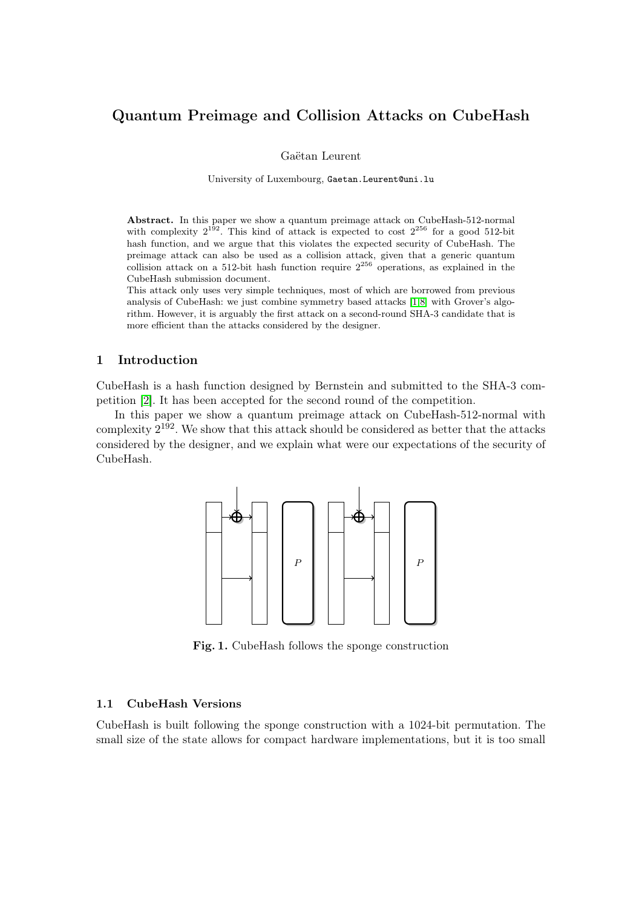# Quantum Preimage and Collision Attacks on CubeHash

Gaëtan Leurent

University of Luxembourg, Gaetan.Leurent@uni.lu

Abstract. In this paper we show a quantum preimage attack on CubeHash-512-normal with complexity  $2^{192}$ . This kind of attack is expected to cost  $2^{256}$  for a good 512-bit hash function, and we argue that this violates the expected security of CubeHash. The preimage attack can also be used as a collision attack, given that a generic quantum collision attack on a 512-bit hash function require  $2^{256}$  operations, as explained in the CubeHash submission document.

This attack only uses very simple techniques, most of which are borrowed from previous analysis of CubeHash: we just combine symmetry based attacks [\[1,](#page-6-0)[8\]](#page-6-1) with Grover's algorithm. However, it is arguably the first attack on a second-round SHA-3 candidate that is more efficient than the attacks considered by the designer.

### 1 Introduction

CubeHash is a hash function designed by Bernstein and submitted to the SHA-3 competition [\[2\]](#page-6-2). It has been accepted for the second round of the competition.

In this paper we show a quantum preimage attack on CubeHash-512-normal with complexity 2 <sup>192</sup>. We show that this attack should be considered as better that the attacks considered by the designer, and we explain what were our expectations of the security of CubeHash.



<span id="page-0-0"></span>Fig. 1. CubeHash follows the sponge construction

#### 1.1 CubeHash Versions

CubeHash is built following the sponge construction with a 1024-bit permutation. The small size of the state allows for compact hardware implementations, but it is too small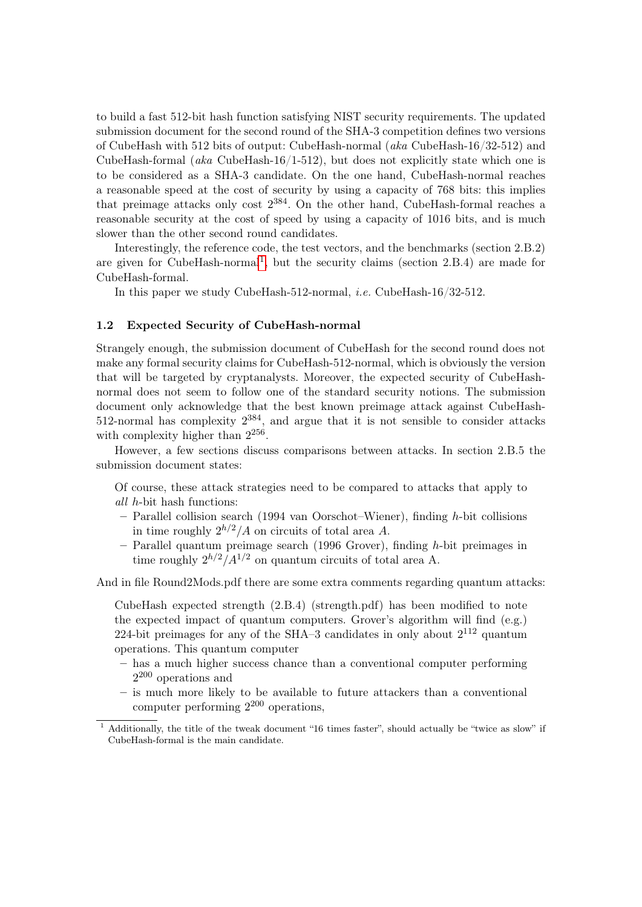to build a fast 512-bit hash function satisfying NIST security requirements. The updated submission document for the second round of the SHA-3 competition defines two versions of CubeHash with 512 bits of output: CubeHash-normal (aka CubeHash-16/32-512) and CubeHash-formal (aka CubeHash-16/1-512), but does not explicitly state which one is to be considered as a SHA-3 candidate. On the one hand, CubeHash-normal reaches a reasonable speed at the cost of security by using a capacity of 768 bits: this implies that preimage attacks only cost  $2^{384}$ . On the other hand, CubeHash-formal reaches a reasonable security at the cost of speed by using a capacity of 1016 bits, and is much slower than the other second round candidates.

Interestingly, the reference code, the test vectors, and the benchmarks (section 2.B.2) are given for CubeHash-normal<sup>[1](#page-1-0)</sup>, but the security claims (section 2.B.4) are made for CubeHash-formal.

In this paper we study CubeHash-512-normal, *i.e.* CubeHash-16/32-512.

### 1.2 Expected Security of CubeHash-normal

Strangely enough, the submission document of CubeHash for the second round does not make any formal security claims for CubeHash-512-normal, which is obviously the version that will be targeted by cryptanalysts. Moreover, the expected security of CubeHashnormal does not seem to follow one of the standard security notions. The submission document only acknowledge that the best known preimage attack against CubeHash-512-normal has complexity  $2^{384}$ , and argue that it is not sensible to consider attacks with complexity higher than  $2^{256}$ .

However, a few sections discuss comparisons between attacks. In section 2.B.5 the submission document states:

- Of course, these attack strategies need to be compared to attacks that apply to all h-bit hash functions:
- $-$  Parallel collision search (1994 van Oorschot–Wiener), finding h-bit collisions in time roughly  $2^{h/2}/A$  on circuits of total area A.
- $-$  Parallel quantum preimage search (1996 Grover), finding h-bit preimages in time roughly  $2^{h/2}/A^{1/2}$  on quantum circuits of total area A.

And in file Round2Mods.pdf there are some extra comments regarding quantum attacks:

CubeHash expected strength (2.B.4) (strength.pdf) has been modified to note the expected impact of quantum computers. Grover's algorithm will find  $(e.g.)$ 224-bit preimages for any of the SHA $-3$  candidates in only about  $2^{112}$  quantum operations. This quantum computer

- has a much higher success chance than a conventional computer performing 2 <sup>200</sup> operations and
- is much more likely to be available to future attackers than a conventional computer performing  $2^{200}$  operations,

<span id="page-1-0"></span> $\frac{1}{1}$  Additionally, the title of the tweak document "16 times faster", should actually be "twice as slow" if CubeHash-formal is the main candidate.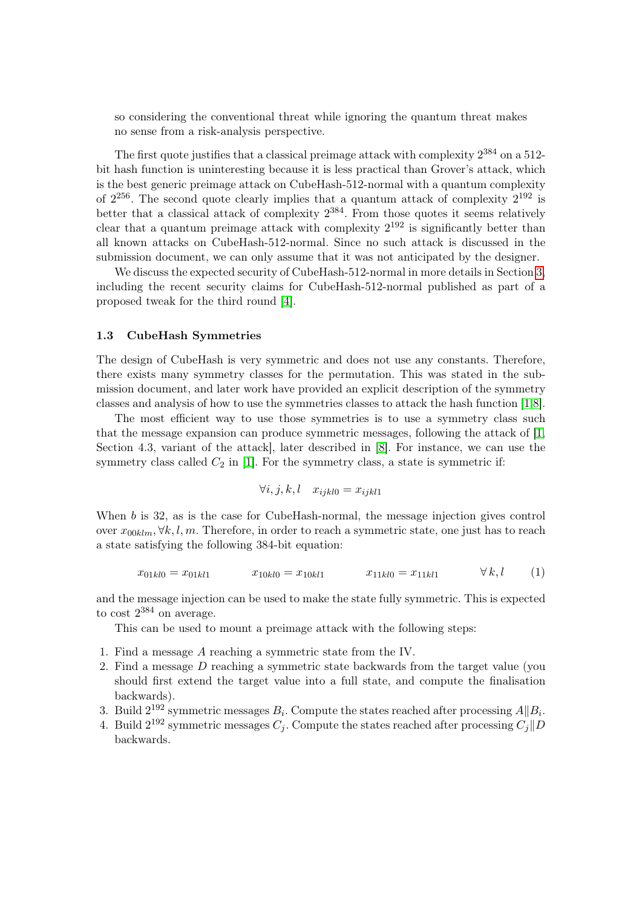so considering the conventional threat while ignoring the quantum threat makes no sense from a risk-analysis perspective.

The first quote justifies that a classical preimage attack with complexity  $2^{384}$  on a 512bit hash function is uninteresting because it is less practical than Grover's attack, which is the best generic preimage attack on CubeHash-512-normal with a quantum complexity of  $2^{256}$ . The second quote clearly implies that a quantum attack of complexity  $2^{192}$  is better that a classical attack of complexity  $2^{384}$ . From those quotes it seems relatively clear that a quantum preimage attack with complexity  $2^{192}$  is significantly better than all known attacks on CubeHash-512-normal. Since no such attack is discussed in the submission document, we can only assume that it was not anticipated by the designer.

We discuss the expected security of CubeHash-512-normal in more details in Section [3,](#page-0-0) including the recent security claims for CubeHash-512-normal published as part of a proposed tweak for the third round [\[4\]](#page-6-3).

#### 1.3 CubeHash Symmetries

The design of CubeHash is very symmetric and does not use any constants. Therefore, there exists many symmetry classes for the permutation. This was stated in the submission document, and later work have provided an explicit description of the symmetry classes and analysis of how to use the symmetries classes to attack the hash function [\[1,](#page-6-0)[8\]](#page-6-1).

The most efficient way to use those symmetries is to use a symmetry class such that the message expansion can produce symmetric messages, following the attack of [\[1,](#page-6-0) Section 4.3, variant of the attack], later described in [\[8\]](#page-6-1). For instance, we can use the symmetry class called  $C_2$  in [\[1\]](#page-6-0). For the symmetry class, a state is symmetric if:

$$
\forall i, j, k, l \quad x_{ijkl0} = x_{ijkl1}
$$

When b is 32, as is the case for CubeHash-normal, the message injection gives control over  $x_{00klm}$ ,  $\forall k, l, m$ . Therefore, in order to reach a symmetric state, one just has to reach a state satisfying the following 384-bit equation:

$$
x_{01kl0} = x_{01kl1} \qquad x_{10kl0} = x_{10kl1} \qquad x_{11kl0} = x_{11kl1} \qquad \forall k, l \qquad (1)
$$

and the message injection can be used to make the state fully symmetric. This is expected to cost  $2^{384}$  on average.

This can be used to mount a preimage attack with the following steps:

- 1. Find a message A reaching a symmetric state from the IV.
- 2. Find a message D reaching a symmetric state backwards from the target value (you should first extend the target value into a full state, and compute the finalisation backwards).
- 3. Build  $2^{192}$  symmetric messages  $B_i$ . Compute the states reached after processing  $A||B_i$ .
- 4. Build  $2^{192}$  symmetric messages  $C_j$ . Compute the states reached after processing  $C_j||D_j||$ backwards.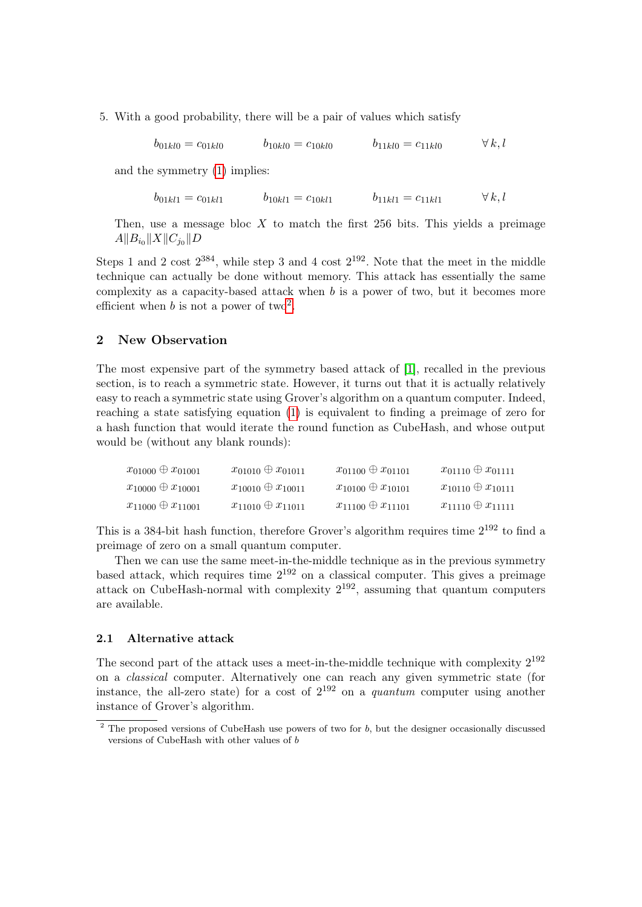5. With a good probability, there will be a pair of values which satisfy

 $b_{01kl0} = c_{01kl0}$   $b_{10kl0} = c_{10kl0}$   $b_{11kl0} = c_{11kl0}$   $\forall k, l$ 

and the symmetry [\(1\)](#page-0-0) implies:

 $b_{01kl1} = c_{01kl1}$   $b_{10kl1} = c_{10kl1}$   $b_{11kl1} = c_{11kl1}$   $\forall k, l$ 

Then, use a message bloc  $X$  to match the first 256 bits. This yields a preimage  $A||B_{i_0}||X||C_{j_0}||D$ 

Steps 1 and 2 cost  $2^{384}$ , while step 3 and 4 cost  $2^{192}$ . Note that the meet in the middle technique can actually be done without memory. This attack has essentially the same complexity as a capacity-based attack when  $b$  is a power of two, but it becomes more efficient when b is not a power of two<sup>[2](#page-3-0)</sup>.

### 2 New Observation

The most expensive part of the symmetry based attack of [\[1\]](#page-6-0), recalled in the previous section, is to reach a symmetric state. However, it turns out that it is actually relatively easy to reach a symmetric state using Grover's algorithm on a quantum computer. Indeed, reaching a state satisfying equation [\(1\)](#page-0-0) is equivalent to finding a preimage of zero for a hash function that would iterate the round function as CubeHash, and whose output would be (without any blank rounds):

| $x_{01000} \oplus x_{01001}$ | $x_{01010} \oplus x_{01011}$ | $x_{01100} \oplus x_{01101}$ | $x_{01110} \oplus x_{01111}$ |
|------------------------------|------------------------------|------------------------------|------------------------------|
| $x_{10000} \oplus x_{10001}$ | $x_{10010} \oplus x_{10011}$ | $x_{10100} \oplus x_{10101}$ | $x_{10110} \oplus x_{10111}$ |
| $x_{11000} \oplus x_{11001}$ | $x_{11010} \oplus x_{11011}$ | $x_{11100} \oplus x_{11101}$ | $x_{11110} \oplus x_{11111}$ |

This is a 384-bit hash function, therefore Grover's algorithm requires time  $2^{192}$  to find a preimage of zero on a small quantum computer.

Then we can use the same meet-in-the-middle technique as in the previous symmetry based attack, which requires time  $2^{192}$  on a classical computer. This gives a preimage attack on CubeHash-normal with complexity  $2^{192}$ , assuming that quantum computers are available.

#### 2.1 Alternative attack

The second part of the attack uses a meet-in-the-middle technique with complexity  $2^{192}$ on a classical computer. Alternatively one can reach any given symmetric state (for instance, the all-zero state) for a cost of  $2^{192}$  on a *quantum* computer using another instance of Grover's algorithm.

<span id="page-3-0"></span><sup>&</sup>lt;sup>2</sup> The proposed versions of CubeHash use powers of two for b, but the designer occasionally discussed versions of CubeHash with other values of b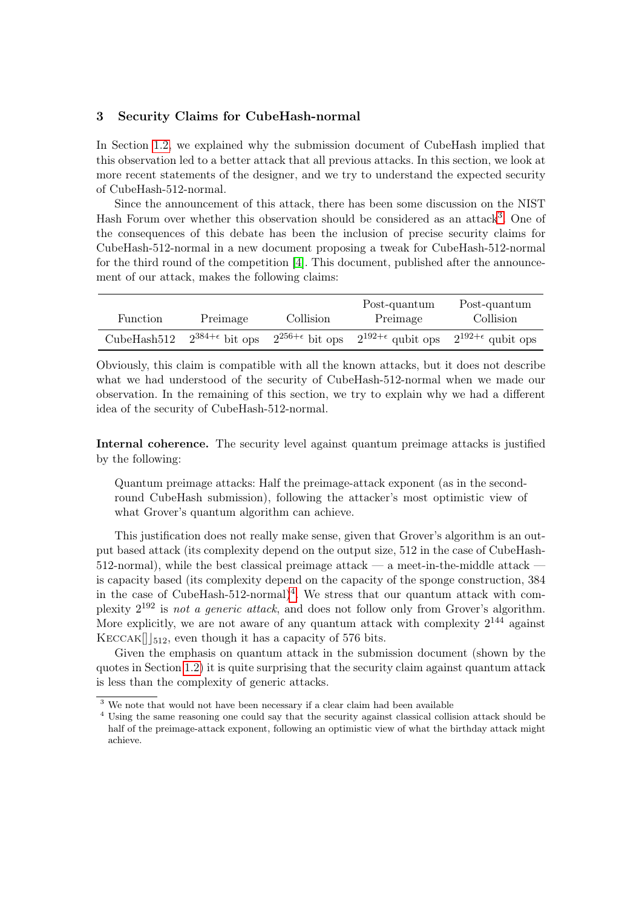# 3 Security Claims for CubeHash-normal

In Section [1.2,](#page-0-0) we explained why the submission document of CubeHash implied that this observation led to a better attack that all previous attacks. In this section, we look at more recent statements of the designer, and we try to understand the expected security of CubeHash-512-normal.

Since the announcement of this attack, there has been some discussion on the NIST Hash Forum over whether this observation should be considered as an attack<sup>[3](#page-4-0)</sup>. One of the consequences of this debate has been the inclusion of precise security claims for CubeHash-512-normal in a new document proposing a tweak for CubeHash-512-normal for the third round of the competition [\[4\]](#page-6-3). This document, published after the announcement of our attack, makes the following claims:

| Function    | Preimage                   | Collision                  | Post-quantum<br>Preimage     | Post-quantum<br>Collision    |
|-------------|----------------------------|----------------------------|------------------------------|------------------------------|
| CubeHash512 | $2^{384+\epsilon}$ bit ops | $2^{256+\epsilon}$ bit ops | $2^{192+\epsilon}$ qubit ops | $2^{192+\epsilon}$ qubit ops |

Obviously, this claim is compatible with all the known attacks, but it does not describe what we had understood of the security of CubeHash-512-normal when we made our observation. In the remaining of this section, we try to explain why we had a different idea of the security of CubeHash-512-normal.

Internal coherence. The security level against quantum preimage attacks is justified by the following:

Quantum preimage attacks: Half the preimage-attack exponent (as in the secondround CubeHash submission), following the attacker's most optimistic view of what Grover's quantum algorithm can achieve.

This justification does not really make sense, given that Grover's algorithm is an output based attack (its complexity depend on the output size, 512 in the case of CubeHash- $512$ -normal), while the best classical preimage attack — a meet-in-the-middle attack – is capacity based (its complexity depend on the capacity of the sponge construction, 384 in the case of CubeHash-512-normal $)^4$  $)^4$ . We stress that our quantum attack with complexity  $2^{192}$  is not a generic attack, and does not follow only from Grover's algorithm. More explicitly, we are not aware of any quantum attack with complexity  $2^{144}$  against  $KECCAK[$  |  $512$ , even though it has a capacity of 576 bits.

Given the emphasis on quantum attack in the submission document (shown by the quotes in Section [1.2\)](#page-0-0) it is quite surprising that the security claim against quantum attack is less than the complexity of generic attacks.

<span id="page-4-0"></span> $\frac{3}{3}$  We note that would not have been necessary if a clear claim had been available

<span id="page-4-1"></span><sup>4</sup> Using the same reasoning one could say that the security against classical collision attack should be half of the preimage-attack exponent, following an optimistic view of what the birthday attack might achieve.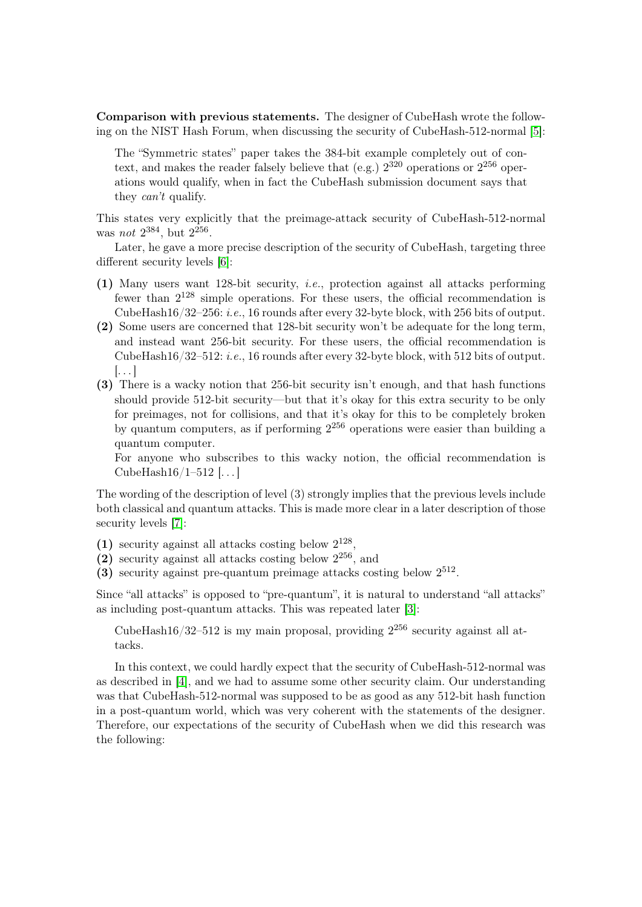Comparison with previous statements. The designer of CubeHash wrote the following on the NIST Hash Forum, when discussing the security of CubeHash-512-normal [\[5\]](#page-6-4):

The "Symmetric states" paper takes the 384-bit example completely out of context, and makes the reader falsely believe that (e.g.)  $2^{320}$  operations or  $2^{256}$  operations would qualify, when in fact the CubeHash submission document says that they can't qualify.

This states very explicitly that the preimage-attack security of CubeHash-512-normal was *not*  $2^{384}$ , but  $2^{256}$ .

Later, he gave a more precise description of the security of CubeHash, targeting three different security levels [\[6\]](#page-6-5):

- (1) Many users want 128-bit security, i.e., protection against all attacks performing fewer than  $2^{128}$  simple operations. For these users, the official recommendation is CubeHash16/32–256: i.e., 16 rounds after every 32-byte block, with 256 bits of output.
- (2) Some users are concerned that 128-bit security won't be adequate for the long term, and instead want 256-bit security. For these users, the official recommendation is CubeHash16/32–512: i.e., 16 rounds after every 32-byte block, with 512 bits of output.  $\left[\ldots\right]$
- (3) There is a wacky notion that 256-bit security isn't enough, and that hash functions should provide 512-bit security—but that it's okay for this extra security to be only for preimages, not for collisions, and that it's okay for this to be completely broken by quantum computers, as if performing 2 <sup>256</sup> operations were easier than building a quantum computer.

For anyone who subscribes to this wacky notion, the official recommendation is CubeHash $16/1-512$  [...]

The wording of the description of level (3) strongly implies that the previous levels include both classical and quantum attacks. This is made more clear in a later description of those security levels [\[7\]](#page-6-6):

- (1) security against all attacks costing below  $2^{128}$ ,
- (2) security against all attacks costing below  $2^{256}$ , and
- (3) security against pre-quantum preimage attacks costing below 2 512 .

Since "all attacks" is opposed to "pre-quantum", it is natural to understand "all attacks" as including post-quantum attacks. This was repeated later [\[3\]](#page-6-7):

CubeHash16/32–512 is my main proposal, providing  $2^{256}$  security against all attacks.

In this context, we could hardly expect that the security of CubeHash-512-normal was as described in [\[4\]](#page-6-3), and we had to assume some other security claim. Our understanding was that CubeHash-512-normal was supposed to be as good as any 512-bit hash function in a post-quantum world, which was very coherent with the statements of the designer. Therefore, our expectations of the security of CubeHash when we did this research was the following: